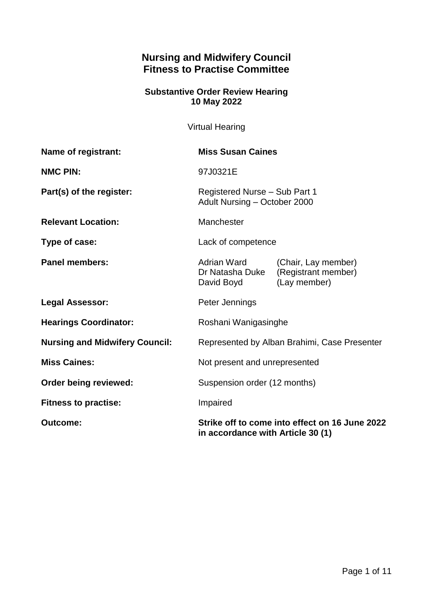# **Nursing and Midwifery Council Fitness to Practise Committee**

## **Substantive Order Review Hearing 10 May 2022**

Virtual Hearing

| Name of registrant:                   | <b>Miss Susan Caines</b>                                                            |                                                            |
|---------------------------------------|-------------------------------------------------------------------------------------|------------------------------------------------------------|
| <b>NMC PIN:</b>                       | 97J0321E                                                                            |                                                            |
| Part(s) of the register:              | Registered Nurse - Sub Part 1<br>Adult Nursing - October 2000                       |                                                            |
| <b>Relevant Location:</b>             | Manchester                                                                          |                                                            |
| Type of case:                         | Lack of competence                                                                  |                                                            |
| <b>Panel members:</b>                 | Adrian Ward<br>Dr Natasha Duke<br>David Boyd                                        | (Chair, Lay member)<br>(Registrant member)<br>(Lay member) |
| <b>Legal Assessor:</b>                | Peter Jennings                                                                      |                                                            |
| <b>Hearings Coordinator:</b>          | Roshani Wanigasinghe                                                                |                                                            |
| <b>Nursing and Midwifery Council:</b> | Represented by Alban Brahimi, Case Presenter                                        |                                                            |
| <b>Miss Caines:</b>                   | Not present and unrepresented                                                       |                                                            |
| Order being reviewed:                 | Suspension order (12 months)                                                        |                                                            |
| <b>Fitness to practise:</b>           | Impaired                                                                            |                                                            |
| <b>Outcome:</b>                       | Strike off to come into effect on 16 June 2022<br>in accordance with Article 30 (1) |                                                            |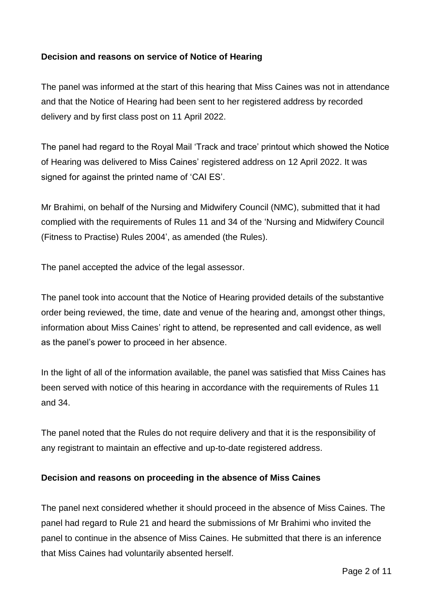## **Decision and reasons on service of Notice of Hearing**

The panel was informed at the start of this hearing that Miss Caines was not in attendance and that the Notice of Hearing had been sent to her registered address by recorded delivery and by first class post on 11 April 2022.

The panel had regard to the Royal Mail 'Track and trace' printout which showed the Notice of Hearing was delivered to Miss Caines' registered address on 12 April 2022. It was signed for against the printed name of 'CAI ES'.

Mr Brahimi, on behalf of the Nursing and Midwifery Council (NMC), submitted that it had complied with the requirements of Rules 11 and 34 of the 'Nursing and Midwifery Council (Fitness to Practise) Rules 2004', as amended (the Rules).

The panel accepted the advice of the legal assessor.

The panel took into account that the Notice of Hearing provided details of the substantive order being reviewed, the time, date and venue of the hearing and, amongst other things, information about Miss Caines' right to attend, be represented and call evidence, as well as the panel's power to proceed in her absence.

In the light of all of the information available, the panel was satisfied that Miss Caines has been served with notice of this hearing in accordance with the requirements of Rules 11 and 34.

The panel noted that the Rules do not require delivery and that it is the responsibility of any registrant to maintain an effective and up-to-date registered address.

#### **Decision and reasons on proceeding in the absence of Miss Caines**

The panel next considered whether it should proceed in the absence of Miss Caines. The panel had regard to Rule 21 and heard the submissions of Mr Brahimi who invited the panel to continue in the absence of Miss Caines. He submitted that there is an inference that Miss Caines had voluntarily absented herself.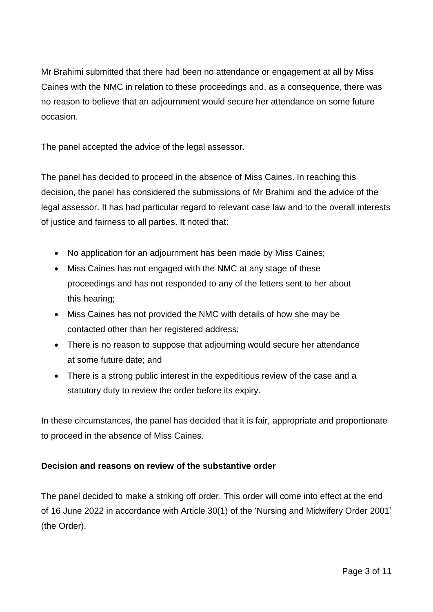Mr Brahimi submitted that there had been no attendance or engagement at all by Miss Caines with the NMC in relation to these proceedings and, as a consequence, there was no reason to believe that an adjournment would secure her attendance on some future occasion.

The panel accepted the advice of the legal assessor.

The panel has decided to proceed in the absence of Miss Caines. In reaching this decision, the panel has considered the submissions of Mr Brahimi and the advice of the legal assessor. It has had particular regard to relevant case law and to the overall interests of justice and fairness to all parties. It noted that:

- No application for an adjournment has been made by Miss Caines;
- Miss Caines has not engaged with the NMC at any stage of these proceedings and has not responded to any of the letters sent to her about this hearing;
- Miss Caines has not provided the NMC with details of how she may be contacted other than her registered address;
- There is no reason to suppose that adjourning would secure her attendance at some future date; and
- There is a strong public interest in the expeditious review of the case and a statutory duty to review the order before its expiry.

In these circumstances, the panel has decided that it is fair, appropriate and proportionate to proceed in the absence of Miss Caines.

## **Decision and reasons on review of the substantive order**

The panel decided to make a striking off order. This order will come into effect at the end of 16 June 2022 in accordance with Article 30(1) of the 'Nursing and Midwifery Order 2001' (the Order).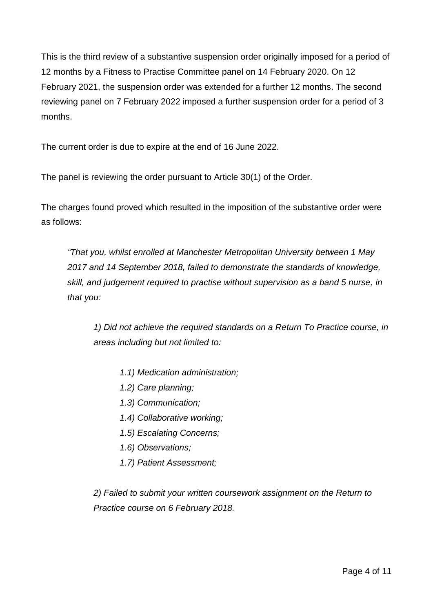This is the third review of a substantive suspension order originally imposed for a period of 12 months by a Fitness to Practise Committee panel on 14 February 2020. On 12 February 2021, the suspension order was extended for a further 12 months. The second reviewing panel on 7 February 2022 imposed a further suspension order for a period of 3 months.

The current order is due to expire at the end of 16 June 2022.

The panel is reviewing the order pursuant to Article 30(1) of the Order.

The charges found proved which resulted in the imposition of the substantive order were as follows:

*"That you, whilst enrolled at Manchester Metropolitan University between 1 May 2017 and 14 September 2018, failed to demonstrate the standards of knowledge, skill, and judgement required to practise without supervision as a band 5 nurse, in that you:*

*1) Did not achieve the required standards on a Return To Practice course, in areas including but not limited to:*

- *1.1) Medication administration;*
- *1.2) Care planning;*
- *1.3) Communication;*
- *1.4) Collaborative working;*
- *1.5) Escalating Concerns;*
- *1.6) Observations;*
- *1.7) Patient Assessment;*

*2) Failed to submit your written coursework assignment on the Return to Practice course on 6 February 2018.*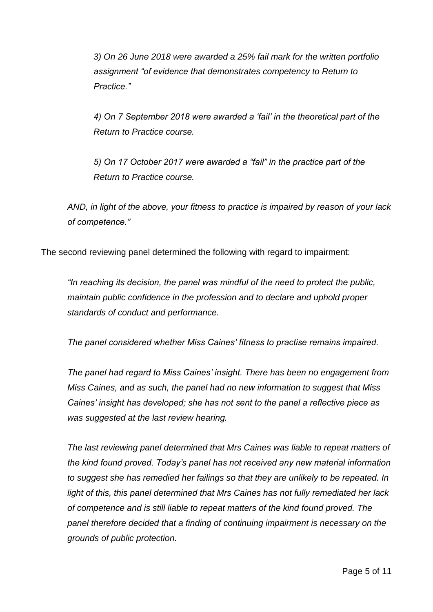*3) On 26 June 2018 were awarded a 25% fail mark for the written portfolio assignment "of evidence that demonstrates competency to Return to Practice."*

*4) On 7 September 2018 were awarded a 'fail' in the theoretical part of the Return to Practice course.*

*5) On 17 October 2017 were awarded a "fail" in the practice part of the Return to Practice course.* 

*AND, in light of the above, your fitness to practice is impaired by reason of your lack of competence."*

The second reviewing panel determined the following with regard to impairment:

*"In reaching its decision, the panel was mindful of the need to protect the public, maintain public confidence in the profession and to declare and uphold proper standards of conduct and performance.*

*The panel considered whether Miss Caines' fitness to practise remains impaired.* 

*The panel had regard to Miss Caines' insight. There has been no engagement from Miss Caines, and as such, the panel had no new information to suggest that Miss Caines' insight has developed; she has not sent to the panel a reflective piece as was suggested at the last review hearing.*

*The last reviewing panel determined that Mrs Caines was liable to repeat matters of the kind found proved. Today's panel has not received any new material information to suggest she has remedied her failings so that they are unlikely to be repeated. In light of this, this panel determined that Mrs Caines has not fully remediated her lack of competence and is still liable to repeat matters of the kind found proved. The panel therefore decided that a finding of continuing impairment is necessary on the grounds of public protection.*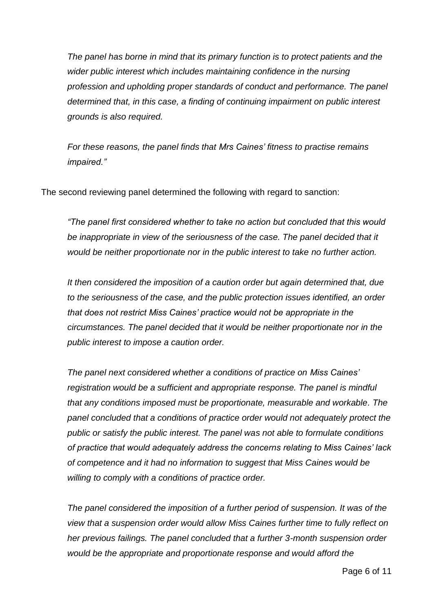*The panel has borne in mind that its primary function is to protect patients and the wider public interest which includes maintaining confidence in the nursing profession and upholding proper standards of conduct and performance. The panel determined that, in this case, a finding of continuing impairment on public interest grounds is also required.*

*For these reasons, the panel finds that Mrs Caines' fitness to practise remains impaired."*

The second reviewing panel determined the following with regard to sanction:

*"The panel first considered whether to take no action but concluded that this would*  be inappropriate in view of the seriousness of the case. The panel decided that it *would be neither proportionate nor in the public interest to take no further action.* 

*It then considered the imposition of a caution order but again determined that, due to the seriousness of the case, and the public protection issues identified, an order that does not restrict Miss Caines' practice would not be appropriate in the circumstances. The panel decided that it would be neither proportionate nor in the public interest to impose a caution order.*

*The panel next considered whether a conditions of practice on Miss Caines' registration would be a sufficient and appropriate response. The panel is mindful that any conditions imposed must be proportionate, measurable and workable. The panel concluded that a conditions of practice order would not adequately protect the public or satisfy the public interest. The panel was not able to formulate conditions of practice that would adequately address the concerns relating to Miss Caines' lack of competence and it had no information to suggest that Miss Caines would be willing to comply with a conditions of practice order.*

*The panel considered the imposition of a further period of suspension. It was of the view that a suspension order would allow Miss Caines further time to fully reflect on her previous failings. The panel concluded that a further 3-month suspension order would be the appropriate and proportionate response and would afford the*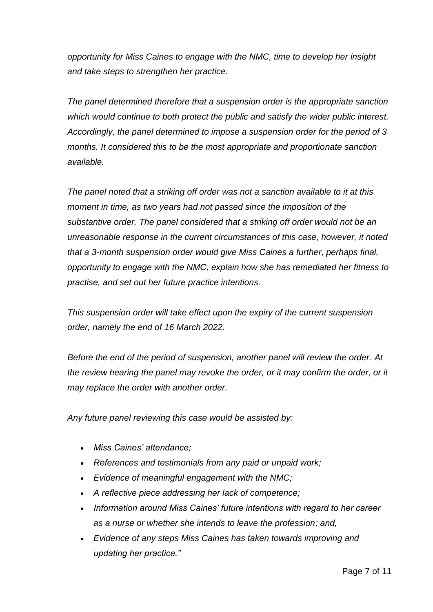*opportunity for Miss Caines to engage with the NMC, time to develop her insight and take steps to strengthen her practice.*

*The panel determined therefore that a suspension order is the appropriate sanction which would continue to both protect the public and satisfy the wider public interest. Accordingly, the panel determined to impose a suspension order for the period of 3 months. It considered this to be the most appropriate and proportionate sanction available.*

*The panel noted that a striking off order was not a sanction available to it at this moment in time, as two years had not passed since the imposition of the substantive order. The panel considered that a striking off order would not be an unreasonable response in the current circumstances of this case, however, it noted that a 3-month suspension order would give Miss Caines a further, perhaps final, opportunity to engage with the NMC, explain how she has remediated her fitness to practise, and set out her future practice intentions.*

*This suspension order will take effect upon the expiry of the current suspension order, namely the end of 16 March 2022.*

*Before the end of the period of suspension, another panel will review the order. At the review hearing the panel may revoke the order, or it may confirm the order, or it may replace the order with another order.* 

*Any future panel reviewing this case would be assisted by:*

- *Miss Caines' attendance;*
- *References and testimonials from any paid or unpaid work;*
- *Evidence of meaningful engagement with the NMC;*
- *A reflective piece addressing her lack of competence;*
- *Information around Miss Caines' future intentions with regard to her career as a nurse or whether she intends to leave the profession; and,*
- *Evidence of any steps Miss Caines has taken towards improving and updating her practice."*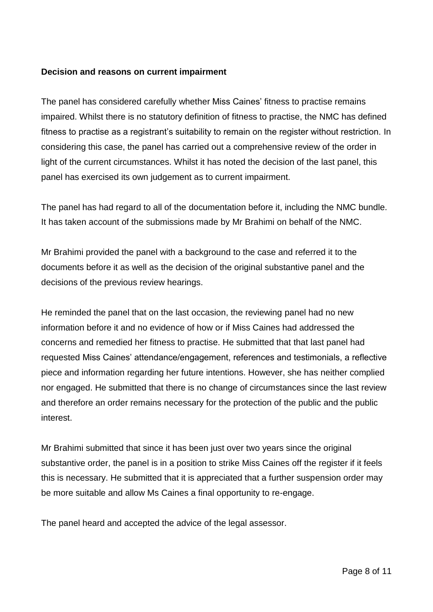#### **Decision and reasons on current impairment**

The panel has considered carefully whether Miss Caines' fitness to practise remains impaired. Whilst there is no statutory definition of fitness to practise, the NMC has defined fitness to practise as a registrant's suitability to remain on the register without restriction. In considering this case, the panel has carried out a comprehensive review of the order in light of the current circumstances. Whilst it has noted the decision of the last panel, this panel has exercised its own judgement as to current impairment.

The panel has had regard to all of the documentation before it, including the NMC bundle. It has taken account of the submissions made by Mr Brahimi on behalf of the NMC.

Mr Brahimi provided the panel with a background to the case and referred it to the documents before it as well as the decision of the original substantive panel and the decisions of the previous review hearings.

He reminded the panel that on the last occasion, the reviewing panel had no new information before it and no evidence of how or if Miss Caines had addressed the concerns and remedied her fitness to practise. He submitted that that last panel had requested Miss Caines' attendance/engagement, references and testimonials, a reflective piece and information regarding her future intentions. However, she has neither complied nor engaged. He submitted that there is no change of circumstances since the last review and therefore an order remains necessary for the protection of the public and the public interest.

Mr Brahimi submitted that since it has been just over two years since the original substantive order, the panel is in a position to strike Miss Caines off the register if it feels this is necessary. He submitted that it is appreciated that a further suspension order may be more suitable and allow Ms Caines a final opportunity to re-engage.

The panel heard and accepted the advice of the legal assessor.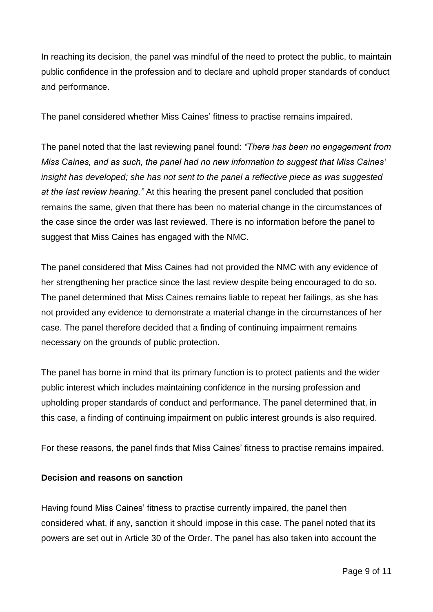In reaching its decision, the panel was mindful of the need to protect the public, to maintain public confidence in the profession and to declare and uphold proper standards of conduct and performance.

The panel considered whether Miss Caines' fitness to practise remains impaired.

The panel noted that the last reviewing panel found: *"There has been no engagement from Miss Caines, and as such, the panel had no new information to suggest that Miss Caines' insight has developed; she has not sent to the panel a reflective piece as was suggested at the last review hearing."* At this hearing the present panel concluded that position remains the same, given that there has been no material change in the circumstances of the case since the order was last reviewed. There is no information before the panel to suggest that Miss Caines has engaged with the NMC.

The panel considered that Miss Caines had not provided the NMC with any evidence of her strengthening her practice since the last review despite being encouraged to do so. The panel determined that Miss Caines remains liable to repeat her failings, as she has not provided any evidence to demonstrate a material change in the circumstances of her case. The panel therefore decided that a finding of continuing impairment remains necessary on the grounds of public protection.

The panel has borne in mind that its primary function is to protect patients and the wider public interest which includes maintaining confidence in the nursing profession and upholding proper standards of conduct and performance. The panel determined that, in this case, a finding of continuing impairment on public interest grounds is also required.

For these reasons, the panel finds that Miss Caines' fitness to practise remains impaired.

## **Decision and reasons on sanction**

Having found Miss Caines' fitness to practise currently impaired, the panel then considered what, if any, sanction it should impose in this case. The panel noted that its powers are set out in Article 30 of the Order. The panel has also taken into account the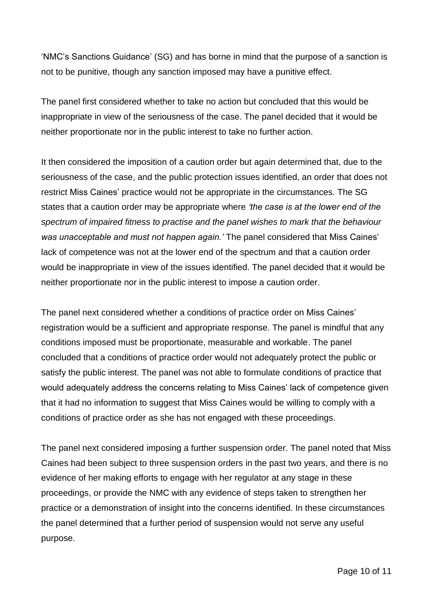'NMC's Sanctions Guidance' (SG) and has borne in mind that the purpose of a sanction is not to be punitive, though any sanction imposed may have a punitive effect.

The panel first considered whether to take no action but concluded that this would be inappropriate in view of the seriousness of the case. The panel decided that it would be neither proportionate nor in the public interest to take no further action.

It then considered the imposition of a caution order but again determined that, due to the seriousness of the case, and the public protection issues identified, an order that does not restrict Miss Caines' practice would not be appropriate in the circumstances. The SG states that a caution order may be appropriate where *'the case is at the lower end of the spectrum of impaired fitness to practise and the panel wishes to mark that the behaviour was unacceptable and must not happen again.'* The panel considered that Miss Caines' lack of competence was not at the lower end of the spectrum and that a caution order would be inappropriate in view of the issues identified. The panel decided that it would be neither proportionate nor in the public interest to impose a caution order.

The panel next considered whether a conditions of practice order on Miss Caines' registration would be a sufficient and appropriate response. The panel is mindful that any conditions imposed must be proportionate, measurable and workable. The panel concluded that a conditions of practice order would not adequately protect the public or satisfy the public interest. The panel was not able to formulate conditions of practice that would adequately address the concerns relating to Miss Caines' lack of competence given that it had no information to suggest that Miss Caines would be willing to comply with a conditions of practice order as she has not engaged with these proceedings.

The panel next considered imposing a further suspension order. The panel noted that Miss Caines had been subject to three suspension orders in the past two years, and there is no evidence of her making efforts to engage with her regulator at any stage in these proceedings, or provide the NMC with any evidence of steps taken to strengthen her practice or a demonstration of insight into the concerns identified. In these circumstances the panel determined that a further period of suspension would not serve any useful purpose.